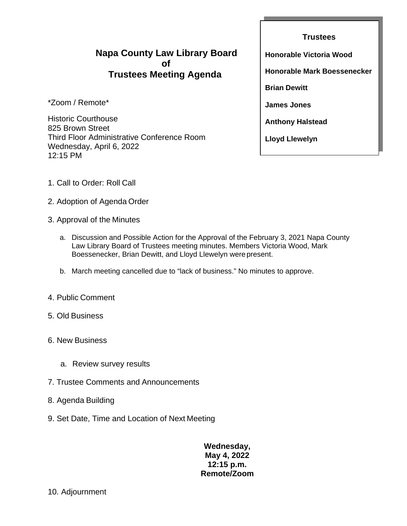## **Napa County Law Library Board of Trustees Meeting Agenda**

\*Zoom / Remote\*

Historic Courthouse 825 Brown Street Third Floor Administrative Conference Room Wednesday, April 6, 2022 12:15 PM

**Trustees Honorable Victoria Wood Honorable Mark Boessenecker Brian Dewitt James Jones Anthony Halstead Lloyd Llewelyn**

- 1. Call to Order: Roll Call
- 2. Adoption of Agenda Order
- 3. Approval of the Minutes
	- a. Discussion and Possible Action for the Approval of the February 3, 2021 Napa County Law Library Board of Trustees meeting minutes. Members Victoria Wood, Mark Boessenecker, Brian Dewitt, and Lloyd Llewelyn were present.
	- b. March meeting cancelled due to "lack of business." No minutes to approve.
- 4. Public Comment
- 5. Old Business
- 6. New Business
	- a. Review survey results
- 7. Trustee Comments and Announcements
- 8. Agenda Building
- 9. Set Date, Time and Location of Next Meeting

## **Wednesday, May 4, 2022 12:15 p.m. Remote/Zoom**

### 10. Adjournment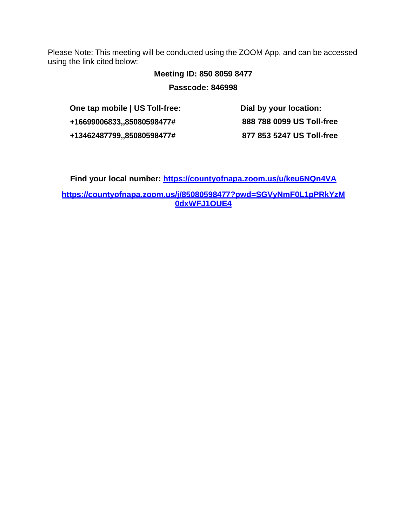Please Note: This meeting will be conducted using the ZOOM App, and can be accessed using the link cited below:

# **Meeting ID: 850 8059 8477**

**Passcode: 846998**

**One tap mobile | US Toll-free: +16699006833,,85080598477# +13462487799,,85080598477#**

**Dial by your location: 888 788 0099 US Toll-free 877 853 5247 US Toll-free**

**Find your local number:<https://countyofnapa.zoom.us/u/keu6NQn4VA>**

**https://countyofnapa.zoom.us/j/85080598477?pwd=SGVyNmF0L1pPRkYzM 0dxWFJ1OUE4**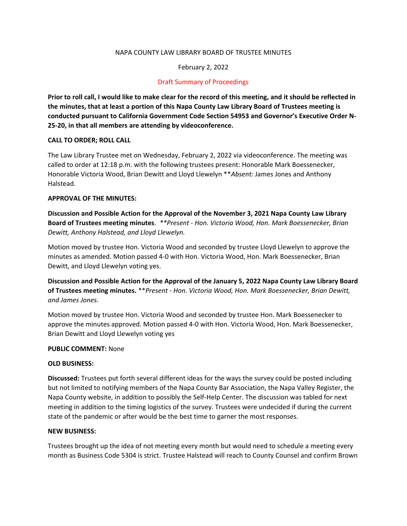#### NAPA COUNTY LAW LIBRARY BOARD OF TRUSTEE MINUTES

#### February 2, 2022

#### Draft Summary of Proceedings

**Prior to roll call, I would like to make clear for the record of this meeting, and it should be reflected in the minutes, that at least a portion of this Napa County Law Library Board of Trustees meeting is conducted pursuant to California Government Code Section 54953 and Governor's Executive Order N-25-20, in that all members are attending by videoconference.**

#### **CALL TO ORDER; ROLL CALL**

The Law Library Trustee met on Wednesday, February 2, 2022 via videoconference. The meeting was called to order at 12:18 p.m. with the following trustees present: Honorable Mark Boessenecker, Honorable Victoria Wood, Brian Dewitt and Lloyd Llewelyn \*\**Absent:* James Jones and Anthony Halstead.

#### **APPROVAL OF THE MINUTES:**

**Discussion and Possible Action for the Approval of the November 3, 2021 Napa County Law Library Board of Trustees meeting minutes**. *\*\*Present - Hon. Victoria Wood, Hon. Mark Boessenecker, Brian Dewitt, Anthony Halstead, and Lloyd Llewelyn.*

Motion moved by trustee Hon. Victoria Wood and seconded by trustee Lloyd Llewelyn to approve the minutes as amended. Motion passed 4-0 with Hon. Victoria Wood, Hon. Mark Boessenecker, Brian Dewitt, and Lloyd Llewelyn voting yes.

**Discussion and Possible Action for the Approval of the January 5, 2022 Napa County Law Library Board of Trustees meeting minutes.** \*\**Present - Hon. Victoria Wood, Hon. Mark Boessenecker, Brian Dewitt, and James Jones*.

Motion moved by trustee Hon. Victoria Wood and seconded by trustee Hon. Mark Boessenecker to approve the minutes approved. Motion passed 4-0 with Hon. Victoria Wood, Hon. Mark Boessenecker, Brian Dewitt and Lloyd Llewelyn voting yes

#### **PUBLIC COMMENT:** None

#### **OLD BUSINESS:**

**Discussed:** Trustees put forth several different ideas for the ways the survey could be posted including but not limited to notifying members of the Napa County Bar Association, the Napa Valley Register, the Napa County website, in addition to possibly the Self-Help Center. The discussion was tabled for next meeting in addition to the timing logistics of the survey. Trustees were undecided if during the current state of the pandemic or after would be the best time to garner the most responses.

#### **NEW BUSINESS:**

Trustees brought up the idea of not meeting every month but would need to schedule a meeting every month as Business Code 5304 is strict. Trustee Halstead will reach to County Counsel and confirm Brown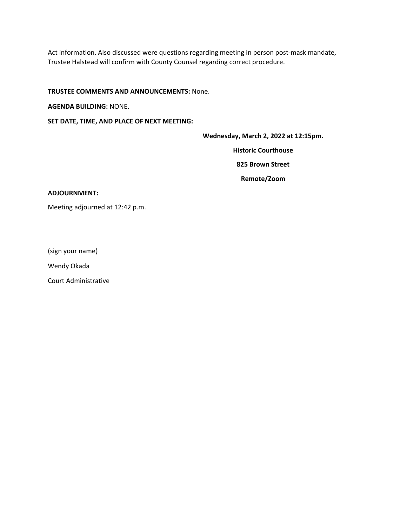Act information. Also discussed were questions regarding meeting in person post-mask mandate, Trustee Halstead will confirm with County Counsel regarding correct procedure.

#### **TRUSTEE COMMENTS AND ANNOUNCEMENTS:** None.

**AGENDA BUILDING:** NONE.

**SET DATE, TIME, AND PLACE OF NEXT MEETING:** 

**Wednesday, March 2, 2022 at 12:15pm.**

**Historic Courthouse**

**825 Brown Street**

**Remote/Zoom** 

#### **ADJOURNMENT:**

Meeting adjourned at 12:42 p.m.

(sign your name)

Wendy Okada

Court Administrative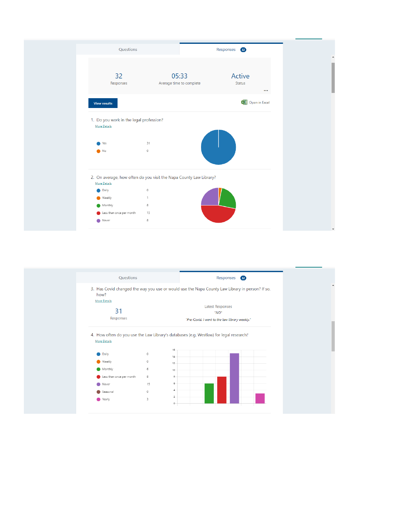| Questions                                                                             |                                                                    | Responses 32                        |
|---------------------------------------------------------------------------------------|--------------------------------------------------------------------|-------------------------------------|
| 32<br>Responses                                                                       | 05:33<br>Average time to complete                                  | Active<br><b>Status</b><br>$\cdots$ |
| <b>View results</b>                                                                   |                                                                    | Open in Excel                       |
| 1. Do you work in the legal profession?<br><b>More Details</b><br>Yes<br>$\bullet$ No | 31<br>$\circ$                                                      |                                     |
| <b>More Details</b>                                                                   | 2. On average, how often do you visit the Napa County Law Library? |                                     |
| <b>Daily</b>                                                                          | $\mathbb O$                                                        |                                     |
| <b>Weekly</b>                                                                         | 1                                                                  |                                     |
| Monthly                                                                               | 8                                                                  |                                     |
| Less than once per month                                                              | 15                                                                 |                                     |
| Never                                                                                 | 8                                                                  |                                     |

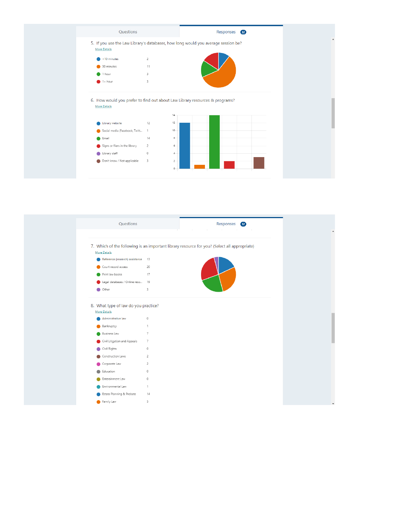

| Questions                                                                         |                | Responses 32                                                                                 |
|-----------------------------------------------------------------------------------|----------------|----------------------------------------------------------------------------------------------|
|                                                                                   |                | <b>COLLA</b><br>$\mathbb{R}$<br>$\sim$ 1.1<br>-11                                            |
| More Details                                                                      |                | 7. Which of the following is an important library resource for you? (Select all appropriate) |
| Reference (research) assistance 13                                                |                |                                                                                              |
| Court record access                                                               | 20             |                                                                                              |
| Print law books                                                                   | 17             |                                                                                              |
| Legal databases / Online reso 19                                                  |                |                                                                                              |
| Other                                                                             | 3              |                                                                                              |
| 8. What type of law do you practice?<br><b>More Details</b><br>Administrative law | $\mathbb O$    |                                                                                              |
| Bankruptcy                                                                        | 1              |                                                                                              |
| <b>Business Law</b>                                                               | $\overline{7}$ |                                                                                              |
| Civil Litigation and Appeals                                                      | $\overline{7}$ |                                                                                              |
| Civil Rights<br>●                                                                 | $\circ$        |                                                                                              |
| Construction Laws                                                                 | 2              |                                                                                              |
| Corporate Law                                                                     | $\overline{c}$ |                                                                                              |
| Education                                                                         | $\circ$        |                                                                                              |
| Enterainment Law                                                                  | $\circ$        |                                                                                              |
| Environmental Law                                                                 | $\mathbf{1}$   |                                                                                              |
| Estate Planning & Probate                                                         | 14             |                                                                                              |
| Family Law                                                                        | 5              |                                                                                              |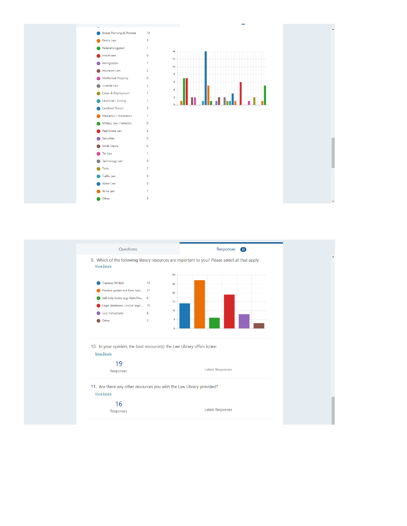

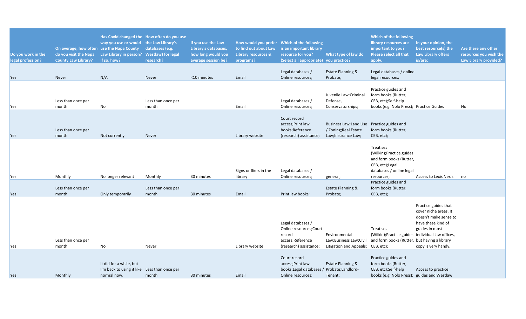| Do you work in the<br>legal profession? | On average, how often use the Napa County<br><b>County Law Library?</b> | way you use or would the Law Library's<br>do you visit the Napa Law Library in person? Westlaw) for legal<br>If so, how? | Has Covid changed the How often do you use<br>databases (e.g.<br>research? | If you use the Law<br>Library's databases,<br>how long would you<br>average session be? | to find out about Law<br><b>Library resources &amp;</b><br>programs? | How would you prefer Which of the following<br>is an important library<br>resource for you?<br>(Select all appropriate) you practice? | What type of law do                                                           | Which of the following<br>library resources are<br>important to you?<br><b>Please select all that</b><br>apply.                | In your opinion, the<br>best resource(s) the<br><b>Law Library offers</b><br>is/are:                                                  | Are there any other<br>resources you wish the<br><b>Law Library provided?</b> |
|-----------------------------------------|-------------------------------------------------------------------------|--------------------------------------------------------------------------------------------------------------------------|----------------------------------------------------------------------------|-----------------------------------------------------------------------------------------|----------------------------------------------------------------------|---------------------------------------------------------------------------------------------------------------------------------------|-------------------------------------------------------------------------------|--------------------------------------------------------------------------------------------------------------------------------|---------------------------------------------------------------------------------------------------------------------------------------|-------------------------------------------------------------------------------|
| <b>Yes</b>                              | Never                                                                   | N/A                                                                                                                      | Never                                                                      | <10 minutes                                                                             | Email                                                                | Legal databases /<br>Online resources;                                                                                                | Estate Planning &<br>Probate;                                                 | Legal databases / online<br>legal resources;                                                                                   |                                                                                                                                       |                                                                               |
| Yes                                     | Less than once per<br>month                                             | No                                                                                                                       | Less than once per<br>month                                                |                                                                                         | Email                                                                | Legal databases /<br>Online resources;                                                                                                | Juvenile Law; Criminal<br>Defense,<br>Conservatorships;                       | Practice guides and<br>form books (Rutter,<br>CEB, etc);Self-help<br>books (e.g. Nolo Press); Practice Guides                  |                                                                                                                                       | No                                                                            |
| Yes                                     | Less than once per<br>month                                             | Not currently                                                                                                            | Never                                                                      |                                                                                         | Library website                                                      | Court record<br>access; Print law<br>books; Reference<br>(research) assistance;                                                       | Business Law; Land Use<br>/ Zoning; Real Estate<br>Law; Insurance Law;        | Practice guides and<br>form books (Rutter,<br>CEB, etc);                                                                       |                                                                                                                                       |                                                                               |
| Yes                                     | Monthly                                                                 | No longer relevant                                                                                                       | Monthly                                                                    | 30 minutes                                                                              | Signs or fliers in the<br>library                                    | Legal databases /<br>Online resources;                                                                                                | general;                                                                      | Treatises<br>(Wilkin); Practice guides<br>and form books (Rutter,<br>CEB, etc);Legal<br>databases / online legal<br>resources; | <b>Access to Lexis Nexis</b>                                                                                                          | no                                                                            |
| Yes                                     | Less than once per<br>month                                             | Only temporarily                                                                                                         | Less than once per<br>month                                                | 30 minutes                                                                              | Email                                                                | Print law books;                                                                                                                      | Estate Planning &<br>Probate;                                                 | Practice guides and<br>form books (Rutter,<br>CEB, etc);                                                                       |                                                                                                                                       |                                                                               |
| Yes                                     | Less than once per<br>month                                             | No                                                                                                                       | Never                                                                      |                                                                                         | Library website                                                      | Legal databases /<br>Online resources; Court<br>record<br>access;Reference<br>(research) assistance;                                  | Environmental<br>Law;Business Law;Civil<br>Litigation and Appeals; CEB, etc); | Treatises<br>(Wilkin); Practice guides individual law offices,<br>and form books (Rutter, but having a library                 | Practice guides that<br>cover niche areas. It<br>doesn't make sense to<br>have these kind of<br>guides in most<br>copy is very handy. |                                                                               |
| <b>Yes</b>                              | Monthly                                                                 | It did for a while, but<br>I'm back to using it like Less than once per<br>normal now.                                   | month                                                                      | 30 minutes                                                                              | Email                                                                | Court record<br>access; Print law<br>books; Legal databases / Probate; Landlord-<br>Online resources;                                 | Estate Planning &<br>Tenant;                                                  | Practice guides and<br>form books (Rutter,<br>CEB, etc);Self-help<br>books (e.g. Nolo Press); guides and Westlaw               | Access to practice                                                                                                                    |                                                                               |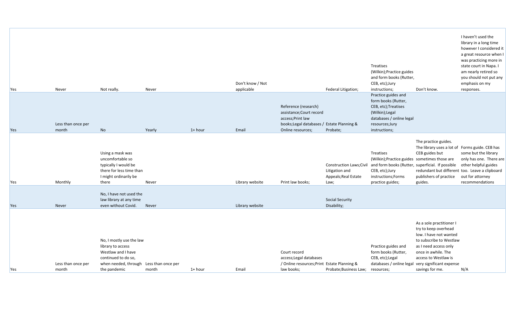| <b>Yes</b> | Never                       | Not really.                                                                                                                        | Never                       |           | Don't know / Not<br>applicable |                                                                                                                                          | Federal Litigation;                                                        | Treatises<br>(Wilkin); Practice guides<br>and form books (Rutter,<br>CEB, etc);Jury<br>instructions;                                                 | Don't know.                                                                                                                                                                                                                                           | I haven't used the<br>library in a long time<br>however I considered it<br>a great resource when I<br>was practicing more in<br>state court in Napa. I<br>am nearly retired so<br>you should not put any<br>emphasis on my<br>responses. |
|------------|-----------------------------|------------------------------------------------------------------------------------------------------------------------------------|-----------------------------|-----------|--------------------------------|------------------------------------------------------------------------------------------------------------------------------------------|----------------------------------------------------------------------------|------------------------------------------------------------------------------------------------------------------------------------------------------|-------------------------------------------------------------------------------------------------------------------------------------------------------------------------------------------------------------------------------------------------------|------------------------------------------------------------------------------------------------------------------------------------------------------------------------------------------------------------------------------------------|
| Yes        | Less than once per<br>month | No                                                                                                                                 | Yearly                      | $1+$ hour | Email                          | Reference (research)<br>assistance; Court record<br>access; Print law<br>books; Legal databases / Estate Planning &<br>Online resources; | Probate;                                                                   | Practice guides and<br>form books (Rutter,<br>CEB, etc); Treatises<br>(Wilkin); Legal<br>databases / online legal<br>resources;Jury<br>instructions; |                                                                                                                                                                                                                                                       |                                                                                                                                                                                                                                          |
| <b>Yes</b> | Monthly                     | Using a mask was<br>uncomfortable so<br>typically I would be<br>there for less time than<br>I might ordinarily be<br>there         | Never                       |           | Library website                | Print law books;                                                                                                                         | Construction Laws; Civil<br>Litigation and<br>Appeals; Real Estate<br>Law; | Treatises<br>(Wilkin);Practice guides sometimes those are<br>CEB, etc);Jury<br>instructions;Forms<br>practice guides;                                | The practice guides.<br>The library uses a lot of Forms guide. CEB has<br>CEB guides but<br>and form books (Rutter, superficial. If possible<br>publishers of practice<br>guides.                                                                     | some but the library<br>only has one. There are<br>other helpful guides<br>redundant but different too. Leave a clipboard<br>out for attorney<br>recommendations                                                                         |
| Yes        | Never                       | No, I have not used the<br>law library at any time<br>even without Covid.                                                          | Never                       |           | Library website                |                                                                                                                                          | <b>Social Security</b><br>Disability;                                      |                                                                                                                                                      |                                                                                                                                                                                                                                                       |                                                                                                                                                                                                                                          |
| <b>Yes</b> | Less than once per<br>month | No, I mostly use the law<br>library to access<br>Westlaw and I have<br>continued to do so,<br>when needed, through<br>the pandemic | Less than once per<br>month | $1+$ hour | Email                          | Court record<br>access; Legal databases<br>/ Online resources; Print Estate Planning &<br>law books;                                     | Probate; Business Law;                                                     | Practice guides and<br>form books (Rutter,<br>CEB, etc);Legal<br>resources;                                                                          | As a sole practitioner I<br>try to keep overhead<br>low. I have not wanted<br>to subscribe to Westlaw<br>as I need access only<br>once in awhile. The<br>access to Westlaw is<br>databases / online legal very significant expense<br>savings for me. | N/A                                                                                                                                                                                                                                      |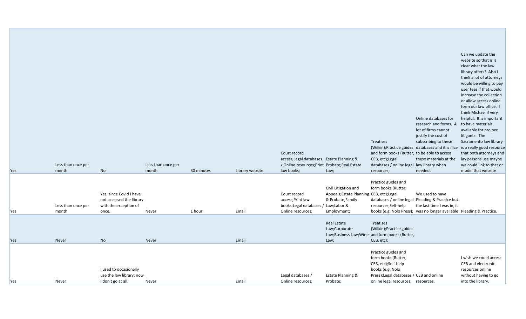| Yes        | Less than once per<br>month | No                                                                                    | Less than once per<br>month | 30 minutes | Library website | Court record<br>access; Legal databases Estate Planning &<br>/ Online resources; Print Probate; Real Estate<br>law books; | Law;                                                                                               | Treatises<br>and form books (Rutter, to be able to access<br>CEB, etc);Legal<br>databases / online legal law library when<br>resources;                                 | Online databases for<br>research and forms. A<br>lot of firms cannot<br>justify the cost of<br>subscribing to these<br>(Wilkin); Practice guides databases and it is nice<br>these materials at the<br>needed. | Can we update the<br>website so that is is<br>clear what the law<br>library offers? Also I<br>think a lot of attorneys<br>would be willing to pay<br>user fees if that would<br>increase the collection<br>or allow access online<br>form our law office. I<br>think Michael if very<br>helpful. It is important<br>to have materials<br>available for pro per<br>litigants. The<br>Sacramento law library<br>is a really good resource<br>that both attorneys and<br>lay persons use maybe<br>we could link to that or<br>model that website |
|------------|-----------------------------|---------------------------------------------------------------------------------------|-----------------------------|------------|-----------------|---------------------------------------------------------------------------------------------------------------------------|----------------------------------------------------------------------------------------------------|-------------------------------------------------------------------------------------------------------------------------------------------------------------------------|----------------------------------------------------------------------------------------------------------------------------------------------------------------------------------------------------------------|-----------------------------------------------------------------------------------------------------------------------------------------------------------------------------------------------------------------------------------------------------------------------------------------------------------------------------------------------------------------------------------------------------------------------------------------------------------------------------------------------------------------------------------------------|
| Yes        | Less than once per<br>month | Yes, since Covid I have<br>not accessed the library<br>with the exception of<br>once. | Never                       | 1 hour     | Email           | Court record<br>access; Print law<br>books; Legal databases / Law; Labor &<br>Online resources;                           | Civil Litigation and<br>Appeals;Estate Planning CEB, etc);Legal<br>& Probate;Family<br>Employment; | Practice guides and<br>form books (Rutter,<br>databases / online legal Pleading & Practice but<br>resources;Self-help                                                   | We used to have<br>the last time I was in, it<br>books (e.g. Nolo Press); was no longer available. Pleading & Practice.                                                                                        |                                                                                                                                                                                                                                                                                                                                                                                                                                                                                                                                               |
| <b>Yes</b> | Never                       | No                                                                                    | Never                       |            | Email           |                                                                                                                           | <b>Real Estate</b><br>Law;Corporate<br>Law;                                                        | Treatises<br>(Wilkin); Practice guides<br>Law; Business Law; Wine and form books (Rutter,<br>CEB, etc);                                                                 |                                                                                                                                                                                                                |                                                                                                                                                                                                                                                                                                                                                                                                                                                                                                                                               |
| <b>Yes</b> | Never                       | I used to occasionally<br>use the law library; now<br>I don't go at all.              | Never                       |            | Email           | Legal databases /<br>Online resources;                                                                                    | Estate Planning &<br>Probate;                                                                      | Practice guides and<br>form books (Rutter,<br>CEB, etc);Self-help<br>books (e.g. Nolo<br>Press); Legal databases / CEB and online<br>online legal resources; resources. |                                                                                                                                                                                                                | I wish we could access<br>CEB and electronic<br>resources online<br>without having to go<br>into the library.                                                                                                                                                                                                                                                                                                                                                                                                                                 |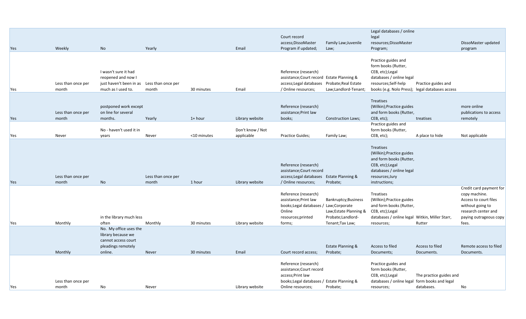|     |                             |                                                                                             |                             |             |                  |                                                                                                                                           |                                                                                                           | Legal databases / online                                                                                                                                            |                                       |                                                                                                                                                 |
|-----|-----------------------------|---------------------------------------------------------------------------------------------|-----------------------------|-------------|------------------|-------------------------------------------------------------------------------------------------------------------------------------------|-----------------------------------------------------------------------------------------------------------|---------------------------------------------------------------------------------------------------------------------------------------------------------------------|---------------------------------------|-------------------------------------------------------------------------------------------------------------------------------------------------|
|     |                             |                                                                                             |                             |             |                  | Court record                                                                                                                              |                                                                                                           | legal                                                                                                                                                               |                                       |                                                                                                                                                 |
|     |                             |                                                                                             |                             |             |                  | access; DissoMaster                                                                                                                       | Family Law; Juvenile                                                                                      | resources; DissoMaster                                                                                                                                              |                                       | DissoMaster updated                                                                                                                             |
| Yes | Weekly                      | No.                                                                                         | Yearly                      |             | Email            | Program if updated;                                                                                                                       | Law;                                                                                                      | Program;                                                                                                                                                            |                                       | program                                                                                                                                         |
| Yes | Less than once per<br>month | I wasn't sure it had<br>reopened and now I<br>just haven't been in as<br>much as I used to. | Less than once per<br>month | 30 minutes  | Email            | Reference (research)<br>assistance; Court record Estate Planning &<br>access; Legal databases Probate; Real Estate<br>/ Online resources; | Law;Landlord-Tenant;                                                                                      | Practice guides and<br>form books (Rutter,<br>CEB, etc);Legal<br>databases / online legal<br>resources;Self-help<br>books (e.g. Nolo Press); legal databases access | Practice guides and                   |                                                                                                                                                 |
| Yes | Less than once per<br>month | postponed work except<br>on line for several<br>months.                                     | Yearly                      | $1+$ hour   | Library website  | Reference (research)<br>assistance; Print law<br>books;                                                                                   | <b>Construction Laws;</b>                                                                                 | Treatises<br>(Wilkin); Practice guides<br>and form books (Rutter,<br>CEB, etc);                                                                                     | treatises                             | more online<br>publications to access<br>remotely                                                                                               |
|     |                             | No - haven't used it in                                                                     |                             |             | Don't know / Not |                                                                                                                                           |                                                                                                           | Practice guides and<br>form books (Rutter,                                                                                                                          |                                       |                                                                                                                                                 |
| Yes | Never                       | vears                                                                                       | Never                       | <10 minutes | applicable       | Practice Guides;                                                                                                                          | Family Law;                                                                                               | CEB, etc);                                                                                                                                                          | A place to hide                       | Not applicable                                                                                                                                  |
| Yes | Less than once per<br>month | No                                                                                          | Less than once per<br>month | 1 hour      | Library website  | Reference (research)<br>assistance; Court record<br>access; Legal databases Estate Planning &<br>/ Online resources;                      | Probate;                                                                                                  | Treatises<br>(Wilkin); Practice guides<br>and form books (Rutter,<br>CEB, etc); Legal<br>databases / online legal<br>resources;Jury<br>instructions;                |                                       |                                                                                                                                                 |
| Yes | Monthly                     | in the library much less<br>often                                                           | Monthly                     | 30 minutes  | Library website  | Reference (research)<br>assistance; Print law<br>books; Legal databases<br>Online<br>resources; printed<br>forms;                         | Bankruptcy; Business<br>Law;Corporate<br>Law; Estate Planning &<br>Probate; Landlord-<br>Tenant; Tax Law; | Treatises<br>(Wilkin); Practice guides<br>and form books (Rutter,<br>CEB, etc);Legal<br>databases / online legal Witkin, Miller Starr,<br>resources;                | Rutter                                | Credit card payment for<br>copy machine.<br>Access to court files<br>without going to<br>research center and<br>paying outrageous copy<br>fees. |
|     |                             | No. My office uses the<br>library because we<br>cannot access court<br>pleadings remotely   |                             |             |                  |                                                                                                                                           | <b>Estate Planning &amp;</b>                                                                              | Access to filed                                                                                                                                                     | Access to filed                       | Remote access to filed                                                                                                                          |
|     | Monthly                     | online.                                                                                     | Never                       | 30 minutes  | Email            | Court record access;                                                                                                                      | Probate;                                                                                                  | Documents;                                                                                                                                                          | Documents.                            | Documents.                                                                                                                                      |
| Yes | Less than once per<br>month | No                                                                                          | Never                       |             | Library website  | Reference (research)<br>assistance; Court record<br>access; Print law<br>books; Legal databases / Estate Planning &<br>Online resources;  | Probate;                                                                                                  | Practice guides and<br>form books (Rutter,<br>CEB, etc);Legal<br>databases / online legal form books and legal<br>resources;                                        | The practice guides and<br>databases. | No                                                                                                                                              |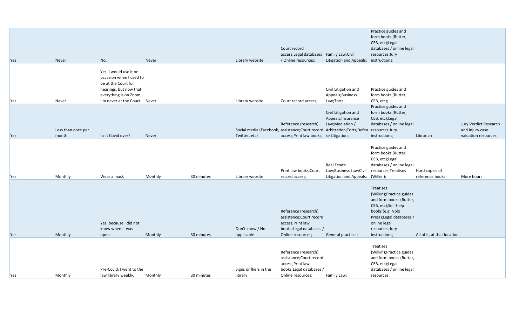|            |                             |                                                                                                                                                               |                    |                          |                                                   | Reference (research)<br>assistance; Court record                                                                                                              |                                                               | (Wilkin); Practice guides<br>and form books (Rutter,                                                                                                                                                |                                                 |                                                                  |
|------------|-----------------------------|---------------------------------------------------------------------------------------------------------------------------------------------------------------|--------------------|--------------------------|---------------------------------------------------|---------------------------------------------------------------------------------------------------------------------------------------------------------------|---------------------------------------------------------------|-----------------------------------------------------------------------------------------------------------------------------------------------------------------------------------------------------|-------------------------------------------------|------------------------------------------------------------------|
|            |                             |                                                                                                                                                               |                    |                          |                                                   |                                                                                                                                                               |                                                               | Treatises                                                                                                                                                                                           |                                                 |                                                                  |
| Yes<br>Yes | Monthly<br>Monthly          | Wear a mask<br>Yes, because I did not<br>know when it was<br>open.                                                                                            | Monthly<br>Monthly | 30 minutes<br>30 minutes | Library website<br>Don't know / Not<br>applicable | record access;<br>Reference (research)<br>assistance; Court record<br>access; Print law<br>books; Legal databases /<br>Online resources;                      | Litigation and Appeals; (Wilkin);<br>General practice;        | <b>Treatises</b><br>(Wilkin); Practice guides<br>and form books (Rutter,<br>CEB, etc);Self-help<br>books (e.g. Nolo<br>Press); Legal databases /<br>online legal<br>resources;Jury<br>instructions; | reference books<br>All of it, at that location. | More hours                                                       |
|            |                             |                                                                                                                                                               |                    |                          |                                                   | Print law books; Court                                                                                                                                        | Real Estate<br>Law;Business Law;Civil                         | Practice guides and<br>form books (Rutter,<br>CEB, etc);Legal<br>databases / online legal<br>resources; Treatises                                                                                   | Hard copies of                                  |                                                                  |
| Yes        | Less than once per<br>month | Isn't Covid over?                                                                                                                                             | Never              |                          | Twitter, etc)                                     | Reference (research)<br>Social media (Facebook, assistance; Court record Arbitration; Torts; Defen resources; Jury<br>access; Print law books; se Litigation; | Civil Litigation and<br>Appeals; Insurance<br>Law;Mediation / | Practice guides and<br>form books (Rutter,<br>CEB, etc);Legal<br>databases / online legal<br>instructions;                                                                                          | Librarian                                       | Jury Verdict Research<br>and injury case<br>valuation resources. |
| Yes        | Never                       | Yes, I would use it on<br>occasion when I used to<br>be at the Court for<br>hearings, but now that<br>everything is on Zoom,<br>I'm never at the Court. Never |                    |                          | Library website                                   | Court record access;                                                                                                                                          | Civil Litigation and<br>Appeals; Business<br>Law;Torts;       | Practice guides and<br>form books (Rutter,<br>CEB, etc);                                                                                                                                            |                                                 |                                                                  |
| Yes        | Never                       | No.                                                                                                                                                           | Never              |                          | Library website                                   | Court record<br>access; Legal databases Family Law; Civil<br>/ Online resources;                                                                              | Litigation and Appeals; instructions;                         | Practice guides and<br>form books (Rutter,<br>CEB, etc);Legal<br>databases / online legal<br>resources;Jury                                                                                         |                                                 |                                                                  |